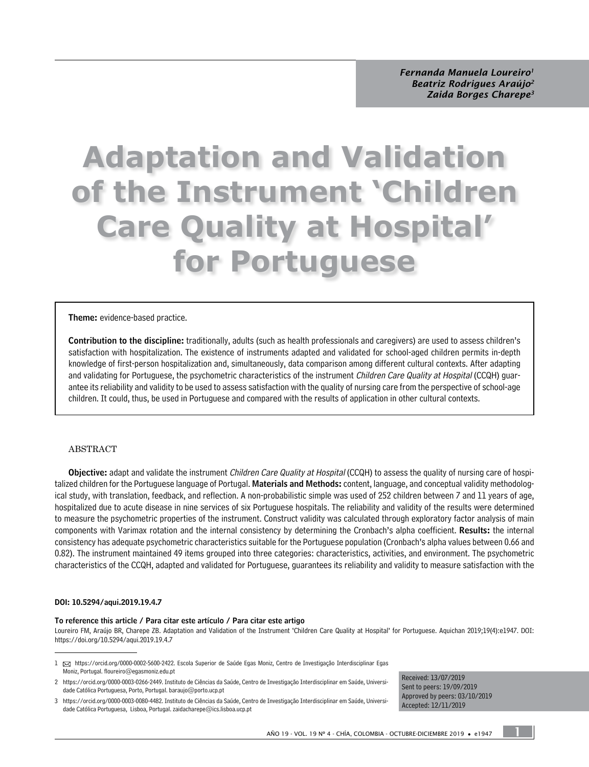# **Adaptation and Validation of the Instrument 'Children Care Quality at Hospital' for Portuguese**

#### Theme: evidence-based practice.

Contribution to the discipline: traditionally, adults (such as health professionals and caregivers) are used to assess children's satisfaction with hospitalization. The existence of instruments adapted and validated for school-aged children permits in-depth knowledge of first-person hospitalization and, simultaneously, data comparison among different cultural contexts. After adapting and validating for Portuguese, the psychometric characteristics of the instrument Children Care Quality at Hospital (CCQH) guarantee its reliability and validity to be used to assess satisfaction with the quality of nursing care from the perspective of school-age children. It could, thus, be used in Portuguese and compared with the results of application in other cultural contexts.

#### ABSTRACT

Objective: adapt and validate the instrument Children Care Quality at Hospital (CCQH) to assess the quality of nursing care of hospitalized children for the Portuguese language of Portugal. Materials and Methods: content, language, and conceptual validity methodological study, with translation, feedback, and reflection. A non-probabilistic simple was used of 252 children between 7 and 11 years of age, hospitalized due to acute disease in nine services of six Portuguese hospitals. The reliability and validity of the results were determined to measure the psychometric properties of the instrument. Construct validity was calculated through exploratory factor analysis of main components with Varimax rotation and the internal consistency by determining the Cronbach's alpha coefficient. Results: the internal consistency has adequate psychometric characteristics suitable for the Portuguese population (Cronbach's alpha values between 0.66 and 0.82). The instrument maintained 49 items grouped into three categories: characteristics, activities, and environment. The psychometric characteristics of the CCQH, adapted and validated for Portuguese, guarantees its reliability and validity to measure satisfaction with the

#### DOI: [10.5294/aqui.2019.19.4.7](https://doi.org/10.5294/aqui.2019.19.4.7)

#### To reference this article / Para citar este artículo / Para citar este artigo

[Loureiro FM](about:blank), [Araújo BR](about:blank), [Charepe ZB.](about:blank) Adaptation and Validation of the Instrument 'Children Care Quality at Hospital' for Portuguese. Aquichan 2019;19(4):e1947. DOI: <https://doi.org/10.5294/aqui.2019.19.4.7>

Received: 13/07/2019 Sent to peers: 19/09/2019 Approved by peers: 03/10/2019 Accepted: 12/11/2019

1

<sup>1 ⊠</sup> [https://orcid.org/0000-0002-5600-2422.](https://orcid.org/0000-0002-5600-2422) Escola Superior de Saúde Egas Moniz, Centro de Investigação Interdisciplinar Egas Moniz, Portugal. [floureiro@egasmoniz.edu.pt](mailto:floureiro@egasmoniz.edu.pt)

<sup>2</sup> <https://orcid.org/0000-0003-0266-2449>. Instituto de Ciências da Saúde, Centro de Investigação Interdisciplinar em Saúde, Universidade Católica Portuguesa, Porto, Portugal. [baraujo@porto.ucp.pt](mailto:baraujo@porto.ucp.pt)

<sup>3</sup> <https://orcid.org/0000-0003-0080-4482>. Instituto de Ciências da Saúde, Centro de Investigação Interdisciplinar em Saúde, Universidade Católica Portuguesa, Lisboa, Portugal. [zaidacharepe@ics.lisboa.ucp.pt](mailto:zaidacharepe@ics.lisboa.ucp.pt)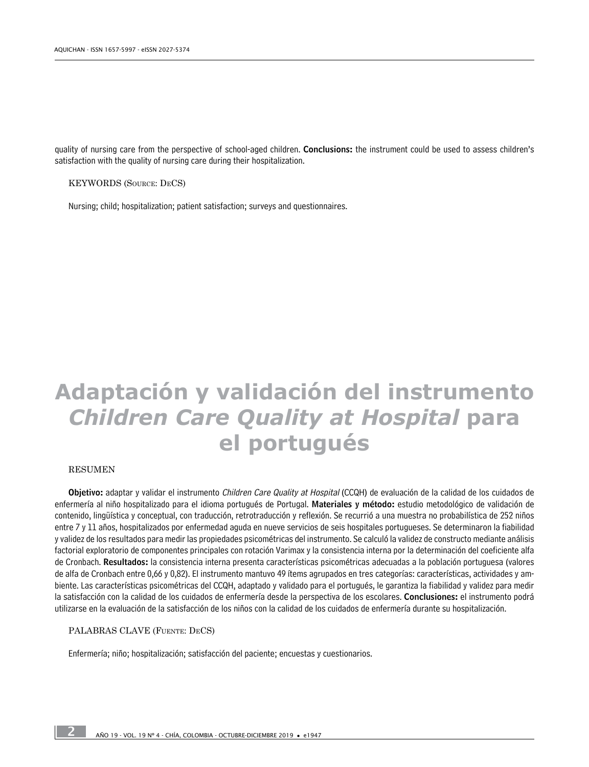quality of nursing care from the perspective of school-aged children. Conclusions: the instrument could be used to assess children's satisfaction with the quality of nursing care during their hospitalization.

KEYWORDS (Source: DeCS)

Nursing; child; hospitalization; patient satisfaction; surveys and questionnaires.

# **Adaptación y validación del instrumento**  *Children Care Quality at Hospital* **para el portugués**

#### RESUMEN

2

Objetivo: adaptar y validar el instrumento Children Care Quality at Hospital (CCQH) de evaluación de la calidad de los cuidados de enfermería al niño hospitalizado para el idioma portugués de Portugal. Materiales y método: estudio metodológico de validación de contenido, lingüística y conceptual, con traducción, retrotraducción y reflexión. Se recurrió a una muestra no probabilística de 252 niños entre 7 y 11 años, hospitalizados por enfermedad aguda en nueve servicios de seis hospitales portugueses. Se determinaron la fiabilidad y validez de los resultados para medir las propiedades psicométricas del instrumento. Se calculó la validez de constructo mediante análisis factorial exploratorio de componentes principales con rotación Varimax y la consistencia interna por la determinación del coeficiente alfa de Cronbach. Resultados: la consistencia interna presenta características psicométricas adecuadas a la población portuguesa (valores de alfa de Cronbach entre 0,66 y 0,82). El instrumento mantuvo 49 ítems agrupados en tres categorías: características, actividades y ambiente. Las características psicométricas del CCQH, adaptado y validado para el portugués, le garantiza la fiabilidad y validez para medir la satisfacción con la calidad de los cuidados de enfermería desde la perspectiva de los escolares. Conclusiones: el instrumento podrá utilizarse en la evaluación de la satisfacción de los niños con la calidad de los cuidados de enfermería durante su hospitalización.

#### PALABRAS CLAVE (Fuente: DeCS)

Enfermería; niño; hospitalización; satisfacción del paciente; encuestas y cuestionarios.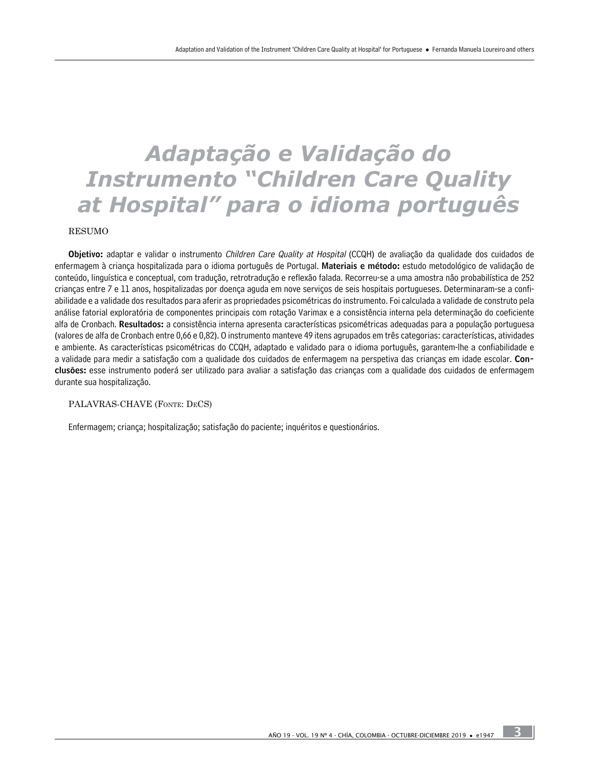# *Adaptação e Validação do Instrumento "Children Care Quality at Hospital" para o idioma português*

RESUMO

Objetivo: adaptar e validar o instrumento Children Care Quality at Hospital (CCQH) de avaliação da qualidade dos cuidados de enfermagem à criança hospitalizada para o idioma português de Portugal. Materiais e método: estudo metodológico de validação de conteúdo, linguística e conceptual, com tradução, retrotradução e reflexão falada. Recorreu-se a uma amostra não probabilística de 252 crianças entre 7 e 11 anos, hospitalizadas por doença aguda em nove serviços de seis hospitais portugueses. Determinaram-se a confiabilidade e a validade dos resultados para aferir as propriedades psicométricas do instrumento. Foi calculada a validade de construto pela análise fatorial exploratória de componentes principais com rotação Varimax e a consistência interna pela determinação do coeficiente alfa de Cronbach. Resultados: a consistência interna apresenta características psicométricas adequadas para a população portuguesa (valores de alfa de Cronbach entre 0,66 e 0,82). O instrumento manteve 49 itens agrupados em três categorias: características, atividades e ambiente. As características psicométricas do CCQH, adaptado e validado para o idioma português, garantem-lhe a confiabilidade e a validade para medir a satisfação com a qualidade dos cuidados de enfermagem na perspetiva das crianças em idade escolar. Conclusões: esse instrumento poderá ser utilizado para avaliar a satisfação das crianças com a qualidade dos cuidados de enfermagem durante sua hospitalização.

#### PALAVRAS-CHAVE (Fonte: DeCS)

Enfermagem; criança; hospitalização; satisfação do paciente; inquéritos e questionários.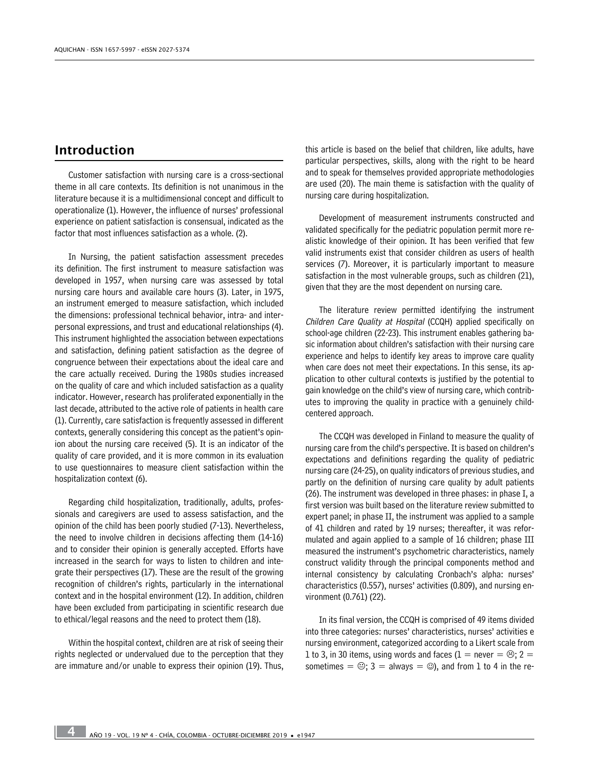# Introduction

Customer satisfaction with nursing care is a cross-sectional theme in all care contexts. Its definition is not unanimous in the literature because it is a multidimensional concept and difficult to operationalize (1). However, the influence of nurses' professional experience on patient satisfaction is consensual, indicated as the factor that most influences satisfaction as a whole. (2).

In Nursing, the patient satisfaction assessment precedes its definition. The first instrument to measure satisfaction was developed in 1957, when nursing care was assessed by total nursing care hours and available care hours (3). Later, in 1975, an instrument emerged to measure satisfaction, which included the dimensions: professional technical behavior, intra- and interpersonal expressions, and trust and educational relationships (4). This instrument highlighted the association between expectations and satisfaction, defining patient satisfaction as the degree of congruence between their expectations about the ideal care and the care actually received. During the 1980s studies increased on the quality of care and which included satisfaction as a quality indicator. However, research has proliferated exponentially in the last decade, attributed to the active role of patients in health care (1). Currently, care satisfaction is frequently assessed in different contexts, generally considering this concept as the patient's opinion about the nursing care received (5). It is an indicator of the quality of care provided, and it is more common in its evaluation to use questionnaires to measure client satisfaction within the hospitalization context (6).

Regarding child hospitalization, traditionally, adults, professionals and caregivers are used to assess satisfaction, and the opinion of the child has been poorly studied (7-13). Nevertheless, the need to involve children in decisions affecting them (14-16) and to consider their opinion is generally accepted. Efforts have increased in the search for ways to listen to children and integrate their perspectives (17). These are the result of the growing recognition of children's rights, particularly in the international context and in the hospital environment (12). In addition, children have been excluded from participating in scientific research due to ethical/legal reasons and the need to protect them (18).

Within the hospital context, children are at risk of seeing their rights neglected or undervalued due to the perception that they are immature and/or unable to express their opinion (19). Thus, this article is based on the belief that children, like adults, have particular perspectives, skills, along with the right to be heard and to speak for themselves provided appropriate methodologies are used (20). The main theme is satisfaction with the quality of nursing care during hospitalization.

Development of measurement instruments constructed and validated specifically for the pediatric population permit more realistic knowledge of their opinion. It has been verified that few valid instruments exist that consider children as users of health services (7). Moreover, it is particularly important to measure satisfaction in the most vulnerable groups, such as children (21), given that they are the most dependent on nursing care.

The literature review permitted identifying the instrument Children Care Quality at Hospital (CCQH) applied specifically on school-age children (22-23). This instrument enables gathering basic information about children's satisfaction with their nursing care experience and helps to identify key areas to improve care quality when care does not meet their expectations. In this sense, its application to other cultural contexts is justified by the potential to gain knowledge on the child's view of nursing care, which contributes to improving the quality in practice with a genuinely childcentered approach.

The CCQH was developed in Finland to measure the quality of nursing care from the child's perspective. It is based on children's expectations and definitions regarding the quality of pediatric nursing care (24-25), on quality indicators of previous studies, and partly on the definition of nursing care quality by adult patients (26). The instrument was developed in three phases: in phase I, a first version was built based on the literature review submitted to expert panel; in phase II, the instrument was applied to a sample of 41 children and rated by 19 nurses; thereafter, it was reformulated and again applied to a sample of 16 children; phase III measured the instrument's psychometric characteristics, namely construct validity through the principal components method and internal consistency by calculating Cronbach's alpha: nurses' characteristics (0.557), nurses' activities (0.809), and nursing environment (0.761) (22).

In its final version, the CCQH is comprised of 49 items divided into three categories: nurses' characteristics, nurses' activities e nursing environment, categorized according to a Likert scale from 1 to 3, in 30 items, using words and faces (1 = never =  $\odot$ ; 2 = sometimes =  $\Theta$ ; 3 = always =  $\Theta$ ), and from 1 to 4 in the re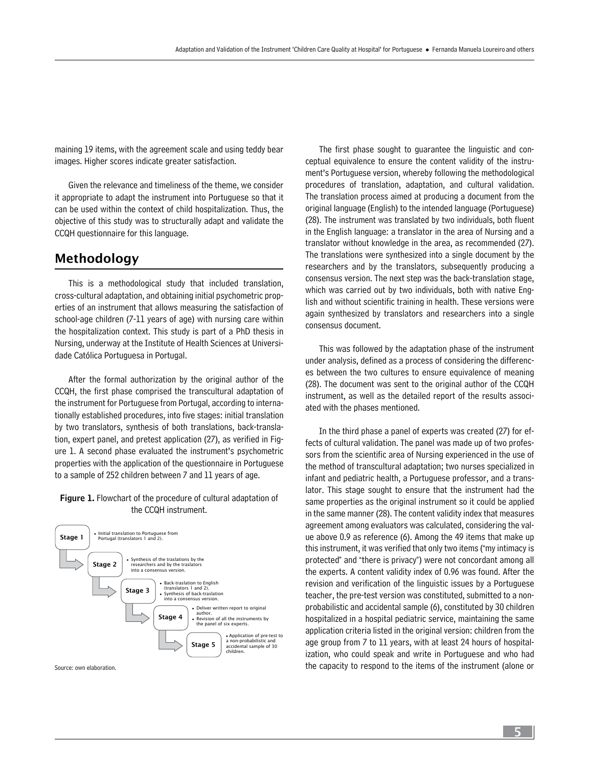maining 19 items, with the agreement scale and using teddy bear images. Higher scores indicate greater satisfaction.

Given the relevance and timeliness of the theme, we consider it appropriate to adapt the instrument into Portuguese so that it can be used within the context of child hospitalization. Thus, the objective of this study was to structurally adapt and validate the CCQH questionnaire for this language.

### Methodology

This is a methodological study that included translation, cross-cultural adaptation, and obtaining initial psychometric properties of an instrument that allows measuring the satisfaction of school-age children (7-11 years of age) with nursing care within the hospitalization context. This study is part of a PhD thesis in Nursing, underway at the Institute of Health Sciences at Universidade Católica Portuguesa in Portugal.

After the formal authorization by the original author of the CCQH, the first phase comprised the transcultural adaptation of the instrument for Portuguese from Portugal, according to internationally established procedures, into five stages: initial translation by two translators, synthesis of both translations, back-translation, expert panel, and pretest application (27), as verified in Figure 1. A second phase evaluated the instrument's psychometric properties with the application of the questionnaire in Portuguese to a sample of 252 children between 7 and 11 years of age.

#### Figure 1. Flowchart of the procedure of cultural adaptation of the CCQH instrument.



Source: own elaboration.

The first phase sought to guarantee the linguistic and conceptual equivalence to ensure the content validity of the instrument's Portuguese version, whereby following the methodological procedures of translation, adaptation, and cultural validation. The translation process aimed at producing a document from the original language (English) to the intended language (Portuguese) (28). The instrument was translated by two individuals, both fluent in the English language: a translator in the area of Nursing and a translator without knowledge in the area, as recommended (27). The translations were synthesized into a single document by the researchers and by the translators, subsequently producing a consensus version. The next step was the back-translation stage, which was carried out by two individuals, both with native English and without scientific training in health. These versions were again synthesized by translators and researchers into a single consensus document.

This was followed by the adaptation phase of the instrument under analysis, defined as a process of considering the differences between the two cultures to ensure equivalence of meaning (28). The document was sent to the original author of the CCQH instrument, as well as the detailed report of the results associated with the phases mentioned.

In the third phase a panel of experts was created (27) for effects of cultural validation. The panel was made up of two professors from the scientific area of Nursing experienced in the use of the method of transcultural adaptation; two nurses specialized in infant and pediatric health, a Portuguese professor, and a translator. This stage sought to ensure that the instrument had the same properties as the original instrument so it could be applied in the same manner (28). The content validity index that measures agreement among evaluators was calculated, considering the value above 0.9 as reference (6). Among the 49 items that make up this instrument, it was verified that only two items ("my intimacy is protected" and "there is privacy") were not concordant among all the experts. A content validity index of 0.96 was found. After the revision and verification of the linguistic issues by a Portuguese teacher, the pre-test version was constituted, submitted to a nonprobabilistic and accidental sample (6), constituted by 30 children hospitalized in a hospital pediatric service, maintaining the same application criteria listed in the original version: children from the age group from 7 to 11 years, with at least 24 hours of hospitalization, who could speak and write in Portuguese and who had the capacity to respond to the items of the instrument (alone or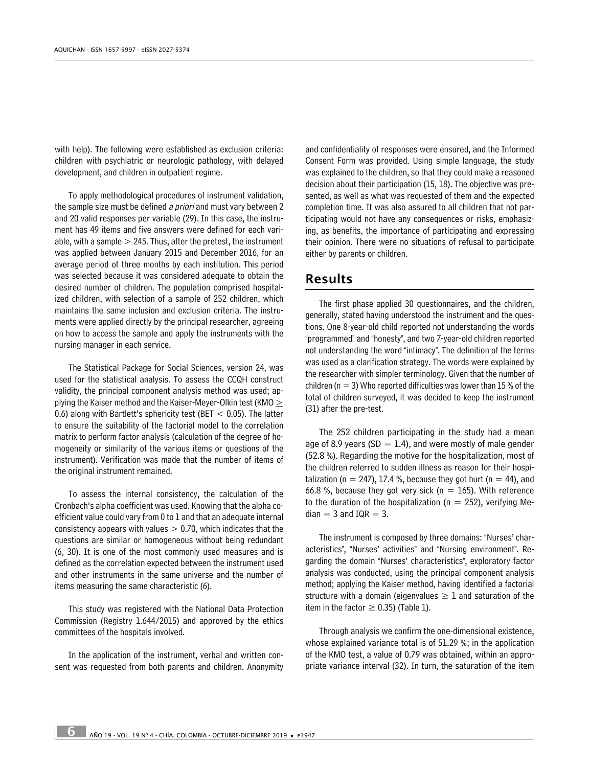with help). The following were established as exclusion criteria: children with psychiatric or neurologic pathology, with delayed development, and children in outpatient regime.

To apply methodological procedures of instrument validation, the sample size must be defined a priori and must vary between 2 and 20 valid responses per variable (29). In this case, the instrument has 49 items and five answers were defined for each variable, with a sample  $> 245$ . Thus, after the pretest, the instrument was applied between January 2015 and December 2016, for an average period of three months by each institution. This period was selected because it was considered adequate to obtain the desired number of children. The population comprised hospitalized children, with selection of a sample of 252 children, which maintains the same inclusion and exclusion criteria. The instruments were applied directly by the principal researcher, agreeing on how to access the sample and apply the instruments with the nursing manager in each service.

The Statistical Package for Social Sciences, version 24, was used for the statistical analysis. To assess the CCQH construct validity, the principal component analysis method was used; applying the Kaiser method and the Kaiser-Meyer-Olkin test (KMO  $\geq$ 0.6) along with Bartlett's sphericity test (BET  $<$  0.05). The latter to ensure the suitability of the factorial model to the correlation matrix to perform factor analysis (calculation of the degree of homogeneity or similarity of the various items or questions of the instrument). Verification was made that the number of items of the original instrument remained.

To assess the internal consistency, the calculation of the Cronbach's alpha coefficient was used. Knowing that the alpha coefficient value could vary from 0 to 1 and that an adequate internal consistency appears with values  $> 0.70$ , which indicates that the questions are similar or homogeneous without being redundant (6, 30). It is one of the most commonly used measures and is defined as the correlation expected between the instrument used and other instruments in the same universe and the number of items measuring the same characteristic (6).

This study was registered with the National Data Protection Commission (Registry 1.644/2015) and approved by the ethics committees of the hospitals involved.

In the application of the instrument, verbal and written consent was requested from both parents and children. Anonymity

and confidentiality of responses were ensured, and the Informed Consent Form was provided. Using simple language, the study was explained to the children, so that they could make a reasoned decision about their participation (15, 18). The objective was presented, as well as what was requested of them and the expected completion time. It was also assured to all children that not participating would not have any consequences or risks, emphasizing, as benefits, the importance of participating and expressing their opinion. There were no situations of refusal to participate either by parents or children.

#### Results

The first phase applied 30 questionnaires, and the children, generally, stated having understood the instrument and the questions. One 8-year-old child reported not understanding the words "programmed" and "honesty", and two 7-year-old children reported not understanding the word "intimacy". The definition of the terms was used as a clarification strategy. The words were explained by the researcher with simpler terminology. Given that the number of children ( $n = 3$ ) Who reported difficulties was lower than 15 % of the total of children surveyed, it was decided to keep the instrument (31) after the pre-test.

The 252 children participating in the study had a mean age of 8.9 years (SD  $=$  1.4), and were mostly of male gender (52.8 %). Regarding the motive for the hospitalization, most of the children referred to sudden illness as reason for their hospitalization (n = 247), 17.4 %, because they got hurt (n = 44), and 66.8 %, because they got very sick ( $n = 165$ ). With reference to the duration of the hospitalization ( $n = 252$ ), verifying Me $dian = 3$  and  $IQR = 3$ .

The instrument is composed by three domains: "Nurses' characteristics", "Nurses' activities" and "Nursing environment". Regarding the domain "Nurses' characteristics", exploratory factor analysis was conducted, using the principal component analysis method; applying the Kaiser method, having identified a factorial structure with a domain (eigenvalues  $\geq 1$  and saturation of the item in the factor  $\geq$  0.35) (Table 1).

Through analysis we confirm the one-dimensional existence, whose explained variance total is of 51.29 %; in the application of the KMO test, a value of 0.79 was obtained, within an appropriate variance interval (32). In turn, the saturation of the item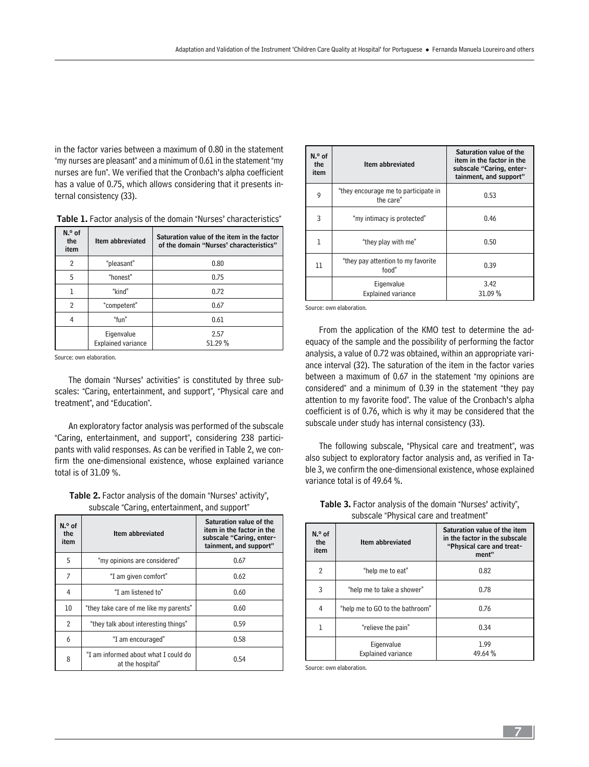in the factor varies between a maximum of 0.80 in the statement "my nurses are pleasant" and a minimum of 0.61 in the statement "my nurses are fun". We verified that the Cronbach's alpha coefficient has a value of 0.75, which allows considering that it presents internal consistency (33).

| N.º of<br>the<br>item | Item abbreviated                        | Saturation value of the item in the factor<br>of the domain "Nurses' characteristics" |
|-----------------------|-----------------------------------------|---------------------------------------------------------------------------------------|
| 2                     | "pleasant"                              | 0.80                                                                                  |
| 5                     | "honest"                                | 0.75                                                                                  |
|                       | "kind"                                  | 0.72                                                                                  |
| $\overline{2}$        | "competent"                             | 0.67                                                                                  |
| 4                     | "fun"                                   | 0.61                                                                                  |
|                       | Eigenvalue<br><b>Explained variance</b> | 2.57<br>51.29 %                                                                       |

Source: own elaboration.

The domain "Nurses' activities" is constituted by three subscales: "Caring, entertainment, and support", "Physical care and treatment", and "Education".

An exploratory factor analysis was performed of the subscale "Caring, entertainment, and support", considering 238 participants with valid responses. As can be verified in Table 2, we confirm the one-dimensional existence, whose explained variance total is of 31.09 %.

Table 2. Factor analysis of the domain "Nurses' activity", subscale "Caring, entertainment, and support"

| N.º of<br>the<br>item | Item abbreviated                                         | Saturation value of the<br>item in the factor in the<br>subscale "Caring, enter-<br>tainment, and support" |
|-----------------------|----------------------------------------------------------|------------------------------------------------------------------------------------------------------------|
| 5                     | "my opinions are considered"                             | 0.67                                                                                                       |
| 7                     | "I am given comfort"                                     | 0.62                                                                                                       |
| 4                     | "I am listened to"                                       | 0.60                                                                                                       |
| 10                    | "they take care of me like my parents"                   | 0.60                                                                                                       |
| $\overline{2}$        | "they talk about interesting things"                     | 0.59                                                                                                       |
| 6                     | "I am encouraged"                                        | 0.58                                                                                                       |
| 8                     | "I am informed about what I could do<br>at the hospital" | 0.54                                                                                                       |

| N.º of<br>the<br>item | Item abbreviated                                  | Saturation value of the<br>item in the factor in the<br>subscale "Caring, enter-<br>tainment, and support" |
|-----------------------|---------------------------------------------------|------------------------------------------------------------------------------------------------------------|
| 9                     | "they encourage me to participate in<br>the care" | 0.53                                                                                                       |
| 3                     | "my intimacy is protected"                        | 0.46                                                                                                       |
| ı                     | "they play with me"                               | 0.50                                                                                                       |
| 11                    | "they pay attention to my favorite"<br>food"      | 0.39                                                                                                       |
|                       | Eigenvalue<br><b>Explained variance</b>           | 3.42<br>31.09 %                                                                                            |

Source: own elaboration.

From the application of the KMO test to determine the adequacy of the sample and the possibility of performing the factor analysis, a value of 0.72 was obtained, within an appropriate variance interval (32). The saturation of the item in the factor varies between a maximum of 0.67 in the statement "my opinions are considered" and a minimum of 0.39 in the statement "they pay attention to my favorite food". The value of the Cronbach's alpha coefficient is of 0.76, which is why it may be considered that the subscale under study has internal consistency (33).

The following subscale, "Physical care and treatment", was also subject to exploratory factor analysis and, as verified in Table 3, we confirm the one-dimensional existence, whose explained variance total is of 49.64 %.

| N.º of<br>the<br>item | Item abbreviated                        | Saturation value of the item<br>in the factor in the subscale<br>"Physical care and treat-<br>ment" |  |
|-----------------------|-----------------------------------------|-----------------------------------------------------------------------------------------------------|--|
| $\overline{2}$        | "help me to eat"                        | 0.82                                                                                                |  |
| 3                     | "help me to take a shower"              | 0.78                                                                                                |  |
| 4                     | "help me to GO to the bathroom"         | 0.76                                                                                                |  |
| 1                     | "relieve the pain"                      | 0.34                                                                                                |  |
|                       | Eigenvalue<br><b>Explained variance</b> | 1.99<br>49.64 %                                                                                     |  |

Table 3. Factor analysis of the domain "Nurses' activity", subscale "Physical care and treatment"

Source: own elaboration.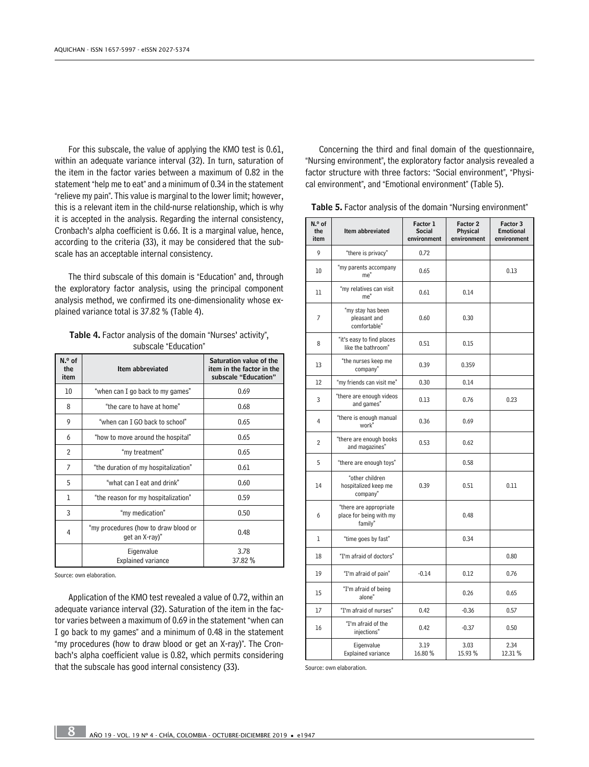For this subscale, the value of applying the KMO test is 0.61, within an adequate variance interval (32). In turn, saturation of the item in the factor varies between a maximum of 0.82 in the statement "help me to eat" and a minimum of 0.34 in the statement "relieve my pain". This value is marginal to the lower limit; however, this is a relevant item in the child-nurse relationship, which is why it is accepted in the analysis. Regarding the internal consistency, Cronbach's alpha coefficient is 0.66. It is a marginal value, hence, according to the criteria (33), it may be considered that the subscale has an acceptable internal consistency.

The third subscale of this domain is "Education" and, through the exploratory factor analysis, using the principal component analysis method, we confirmed its one-dimensionality whose explained variance total is 37.82 % (Table 4).

Table 4. Factor analysis of the domain "Nurses' activity", subscale "Education"

| N.º of<br>the<br>item | Item abbreviated                                       | Saturation value of the<br>item in the factor in the<br>subscale "Education" |
|-----------------------|--------------------------------------------------------|------------------------------------------------------------------------------|
| 10                    | "when can I go back to my games"                       | 0.69                                                                         |
| 8                     | "the care to have at home"                             | 0.68                                                                         |
| 9                     | "when can I GO back to school"                         | 0.65                                                                         |
| 6                     | "how to move around the hospital"                      | 0.65                                                                         |
| $\overline{2}$        | "my treatment"                                         | 0.65                                                                         |
| 7                     | "the duration of my hospitalization"                   | 0.61                                                                         |
| 5                     | "what can I eat and drink"                             | 0.60                                                                         |
| 1                     | "the reason for my hospitalization"                    | 0.59                                                                         |
| 3                     | "my medication"                                        | 0.50                                                                         |
| 4                     | "my procedures (how to draw blood or<br>get an X-ray)" | 0.48                                                                         |
|                       | Eigenvalue<br><b>Explained variance</b>                | 3.78<br>37.82 %                                                              |

Source: own elaboration.

Application of the KMO test revealed a value of 0.72, within an adequate variance interval (32). Saturation of the item in the factor varies between a maximum of 0.69 in the statement "when can I go back to my games" and a minimum of 0.48 in the statement "my procedures (how to draw blood or get an X-ray)". The Cronbach's alpha coefficient value is 0.82, which permits considering that the subscale has good internal consistency (33).

Concerning the third and final domain of the questionnaire, "Nursing environment", the exploratory factor analysis revealed a factor structure with three factors: "Social environment", "Physical environment", and "Emotional environment" (Table 5).

Table 5. Factor analysis of the domain "Nursing environment"

| N.º of<br>the<br>item | Item abbreviated                                             | Factor 1<br><b>Social</b><br>environment | Factor 2<br>Physical<br>environment | Factor 3<br><b>Emotional</b><br>environment |
|-----------------------|--------------------------------------------------------------|------------------------------------------|-------------------------------------|---------------------------------------------|
| 9                     | "there is privacy"                                           | 0.72                                     |                                     |                                             |
| 10                    | "my parents accompany<br>me"                                 | 0.65                                     |                                     | 0.13                                        |
| 11                    | "my relatives can visit<br>me"                               | 0.61                                     | 0.14                                |                                             |
| 7                     | "my stay has been<br>pleasant and<br>comfortable"            | 0.60                                     | 0.30                                |                                             |
| 8                     | "it's easy to find places<br>like the bathroom"              | 0.51                                     | 0.15                                |                                             |
| 13                    | "the nurses keep me<br>company"                              | 0.39                                     | 0.359                               |                                             |
| 12                    | "my friends can visit me"                                    | 0.30                                     | 0.14                                |                                             |
| 3                     | "there are enough videos<br>and games"                       | 0.13                                     | 0.76                                | 0.23                                        |
| 4                     | "there is enough manual<br>work"                             | 0.36                                     | 0.69                                |                                             |
| $\overline{2}$        | "there are enough books<br>and magazines"                    | 0.53                                     | 0.62                                |                                             |
| 5                     | "there are enough toys"                                      |                                          | 0.58                                |                                             |
| 14                    | "other children<br>hospitalized keep me<br>company"          | 0.39                                     | 0.51                                | 0.11                                        |
| 6                     | "there are appropriate<br>place for being with my<br>family" |                                          | 0.48                                |                                             |
| $\mathbf{1}$          | "time goes by fast"                                          |                                          | 0.34                                |                                             |
| 18                    | "I'm afraid of doctors"                                      |                                          |                                     | 0.80                                        |
| 19                    | "I'm afraid of pain"                                         | $-0.14$                                  | 0.12                                | 0.76                                        |
| 15                    | "I'm afraid of being<br>alone"                               |                                          | 0.26                                | 0.65                                        |
| 17                    | "I'm afraid of nurses"                                       | 0.42                                     | $-0.36$                             | 0.57                                        |
| 16                    | "I'm afraid of the<br>iniections"                            | 0.42                                     | $-0.37$                             | 0.50                                        |
|                       | Eigenvalue<br><b>Explained variance</b>                      | 3.19<br>16.80%                           | 3.03<br>15.93 %                     | 2.34<br>12.31 %                             |

Source: own elaboration.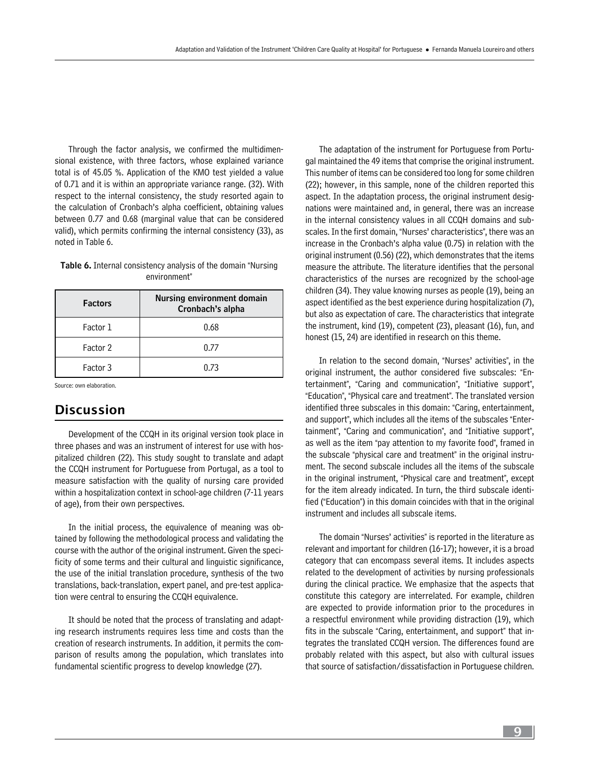Through the factor analysis, we confirmed the multidimensional existence, with three factors, whose explained variance total is of 45.05 %. Application of the KMO test yielded a value of 0.71 and it is within an appropriate variance range. (32). With respect to the internal consistency, the study resorted again to the calculation of Cronbach's alpha coefficient, obtaining values between 0.77 and 0.68 (marginal value that can be considered valid), which permits confirming the internal consistency (33), as noted in Table 6.

| <b>Table 6.</b> Internal consistency analysis of the domain "Nursing |  |
|----------------------------------------------------------------------|--|
| environment"                                                         |  |

| <b>Factors</b> | <b>Nursing environment domain</b><br>Cronbach's alpha |
|----------------|-------------------------------------------------------|
| Factor 1       | 0.68                                                  |
| Factor 2       | 0.77                                                  |
| Factor 3       | 0.73                                                  |

Source: own elaboration.

# **Discussion**

Development of the CCQH in its original version took place in three phases and was an instrument of interest for use with hospitalized children (22). This study sought to translate and adapt the CCQH instrument for Portuguese from Portugal, as a tool to measure satisfaction with the quality of nursing care provided within a hospitalization context in school-age children (7-11 years of age), from their own perspectives.

In the initial process, the equivalence of meaning was obtained by following the methodological process and validating the course with the author of the original instrument. Given the specificity of some terms and their cultural and linguistic significance, the use of the initial translation procedure, synthesis of the two translations, back-translation, expert panel, and pre-test application were central to ensuring the CCQH equivalence.

It should be noted that the process of translating and adapting research instruments requires less time and costs than the creation of research instruments. In addition, it permits the comparison of results among the population, which translates into fundamental scientific progress to develop knowledge (27).

The adaptation of the instrument for Portuguese from Portugal maintained the 49 items that comprise the original instrument. This number of items can be considered too long for some children (22); however, in this sample, none of the children reported this aspect. In the adaptation process, the original instrument designations were maintained and, in general, there was an increase in the internal consistency values in all CCQH domains and subscales. In the first domain, "Nurses' characteristics", there was an increase in the Cronbach's alpha value (0.75) in relation with the original instrument (0.56) (22), which demonstrates that the items measure the attribute. The literature identifies that the personal characteristics of the nurses are recognized by the school-age children (34). They value knowing nurses as people (19), being an aspect identified as the best experience during hospitalization (7), but also as expectation of care. The characteristics that integrate the instrument, kind (19), competent (23), pleasant (16), fun, and honest (15, 24) are identified in research on this theme.

In relation to the second domain, "Nurses' activities", in the original instrument, the author considered five subscales: "Entertainment", "Caring and communication", "Initiative support", "Education", "Physical care and treatment". The translated version identified three subscales in this domain: "Caring, entertainment, and support", which includes all the items of the subscales "Entertainment", "Caring and communication", and "Initiative support", as well as the item "pay attention to my favorite food", framed in the subscale "physical care and treatment" in the original instrument. The second subscale includes all the items of the subscale in the original instrument, "Physical care and treatment", except for the item already indicated. In turn, the third subscale identified ("Education") in this domain coincides with that in the original instrument and includes all subscale items.

The domain "Nurses' activities" is reported in the literature as relevant and important for children (16-17); however, it is a broad category that can encompass several items. It includes aspects related to the development of activities by nursing professionals during the clinical practice. We emphasize that the aspects that constitute this category are interrelated. For example, children are expected to provide information prior to the procedures in a respectful environment while providing distraction (19), which fits in the subscale "Caring, entertainment, and support" that integrates the translated CCQH version. The differences found are probably related with this aspect, but also with cultural issues that source of satisfaction/dissatisfaction in Portuguese children.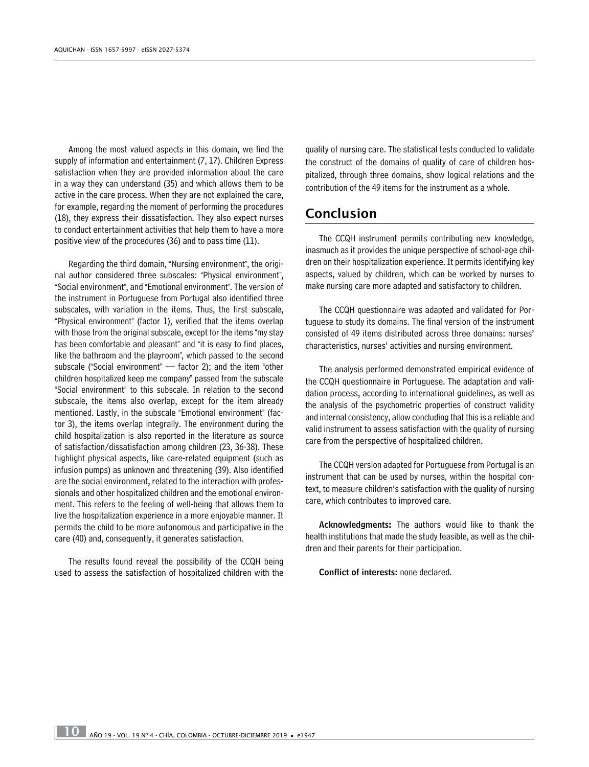Among the most valued aspects in this domain, we find the supply of information and entertainment (7, 17). Children Express satisfaction when they are provided information about the care in a way they can understand (35) and which allows them to be active in the care process. When they are not explained the care, for example, regarding the moment of performing the procedures (18), they express their dissatisfaction. They also expect nurses to conduct entertainment activities that help them to have a more positive view of the procedures (36) and to pass time (11).

Regarding the third domain, "Nursing environment", the original author considered three subscales: "Physical environment", "Social environment", and "Emotional environment". The version of the instrument in Portuguese from Portugal also identified three subscales, with variation in the items. Thus, the first subscale, "Physical environment" (factor 1), verified that the items overlap with those from the original subscale, except for the items "my stay has been comfortable and pleasant" and "it is easy to find places, like the bathroom and the playroom", which passed to the second subscale ("Social environment" — factor 2); and the item "other children hospitalized keep me company" passed from the subscale "Social environment" to this subscale. In relation to the second subscale, the items also overlap, except for the item already mentioned. Lastly, in the subscale "Emotional environment" (factor 3), the items overlap integrally. The environment during the child hospitalization is also reported in the literature as source of satisfaction/dissatisfaction among children (23, 36-38). These highlight physical aspects, like care-related equipment (such as infusion pumps) as unknown and threatening (39). Also identified are the social environment, related to the interaction with professionals and other hospitalized children and the emotional environment. This refers to the feeling of well-being that allows them to live the hospitalization experience in a more enjoyable manner. It permits the child to be more autonomous and participative in the care (40) and, consequently, it generates satisfaction.

The results found reveal the possibility of the CCQH being used to assess the satisfaction of hospitalized children with the quality of nursing care. The statistical tests conducted to validate the construct of the domains of quality of care of children hospitalized, through three domains, show logical relations and the contribution of the 49 items for the instrument as a whole.

# Conclusion

The CCQH instrument permits contributing new knowledge, inasmuch as it provides the unique perspective of school-age children on their hospitalization experience. It permits identifying key aspects, valued by children, which can be worked by nurses to make nursing care more adapted and satisfactory to children.

The CCQH questionnaire was adapted and validated for Portuguese to study its domains. The final version of the instrument consisted of 49 items distributed across three domains: nurses' characteristics, nurses' activities and nursing environment.

The analysis performed demonstrated empirical evidence of the CCQH questionnaire in Portuguese. The adaptation and validation process, according to international guidelines, as well as the analysis of the psychometric properties of construct validity and internal consistency, allow concluding that this is a reliable and valid instrument to assess satisfaction with the quality of nursing care from the perspective of hospitalized children.

The CCQH version adapted for Portuguese from Portugal is an instrument that can be used by nurses, within the hospital context, to measure children's satisfaction with the quality of nursing care, which contributes to improved care.

Acknowledgments: The authors would like to thank the health institutions that made the study feasible, as well as the children and their parents for their participation.

Conflict of interests: none declared.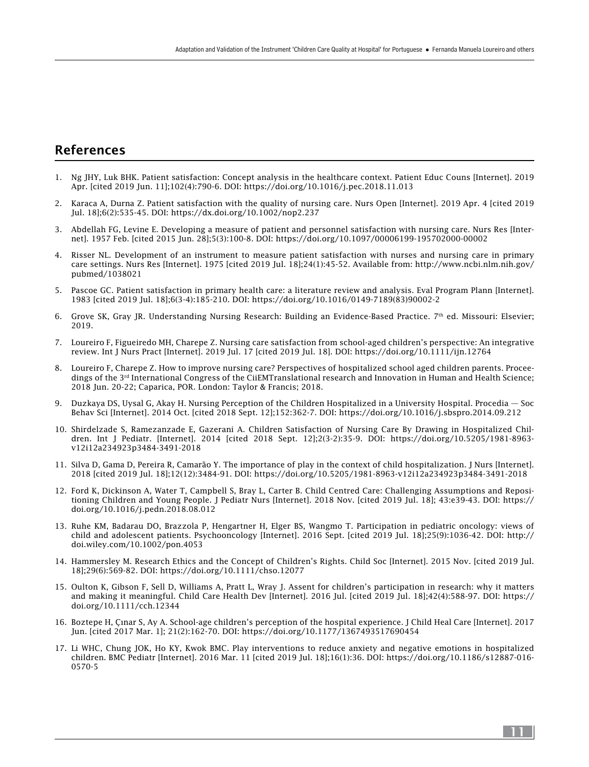# References

- 1. Ng JHY, Luk BHK. Patient satisfaction: Concept analysis in the healthcare context. Patient Educ Couns [Internet]. 2019 Apr. [cited 2019 Jun. 11];102(4):790-6. DOI: <https://doi.org/10.1016/j.pec.2018.11.013>
- 2. Karaca A, Durna Z. Patient satisfaction with the quality of nursing care. Nurs Open [Internet]. 2019 Apr. 4 [cited 2019 Jul. 18];6(2):535-45. DOI:<https://dx.doi.org/10.1002/nop2.237>
- 3. Abdellah FG, Levine E. Developing a measure of patient and personnel satisfaction with nursing care. Nurs Res [Internet]. 1957 Feb. [cited 2015 Jun. 28];5(3):100-8. DOI:<https://doi.org/10.1097/00006199-195702000-00002>
- 4. Risser NL. Development of an instrument to measure patient satisfaction with nurses and nursing care in primary care settings. Nurs Res [Internet]. 1975 [cited 2019 Jul. 18];24(1):45-52. Available from: [http://www.ncbi.nlm.nih.gov/](http://www.ncbi.nlm.nih.gov/pubmed/1038021) [pubmed/1038021](http://www.ncbi.nlm.nih.gov/pubmed/1038021)
- 5. Pascoe GC. Patient satisfaction in primary health care: a literature review and analysis. Eval Program Plann [Internet]. 1983 [cited 2019 Jul. 18];6(3-4):185-210. DOI: [https://doi.org/10.1016/0149-7189\(83\)90002-2](https://doi.org/10.1016/0149-7189(83)90002-2)
- 6. Grove SK, Gray JR. Understanding Nursing Research: Building an Evidence-Based Practice. 7th ed. Missouri: Elsevier; 2019.
- 7. Loureiro F, Figueiredo MH, Charepe Z. Nursing care satisfaction from school-aged children's perspective: An integrative review. Int J Nurs Pract [Internet]. 2019 Jul. 17 [cited 2019 Jul. 18]. DOI:<https://doi.org/10.1111/ijn.12764>
- 8. Loureiro F, Charepe Z. How to improve nursing care? Perspectives of hospitalized school aged children parents. Proceedings of the 3rd International Congress of the CiiEMTranslational research and Innovation in Human and Health Science; 2018 Jun. 20-22; Caparica, POR. London: Taylor & Francis; 2018.
- 9. Duzkaya DS, Uysal G, Akay H. Nursing Perception of the Children Hospitalized in a University Hospital. Procedia Soc Behav Sci [Internet]. 2014 Oct. [cited 2018 Sept. 12];152:362-7. DOI: <https://doi.org/10.1016/j.sbspro.2014.09.212>
- 10. Shirdelzade S, Ramezanzade E, Gazerani A. Children Satisfaction of Nursing Care By Drawing in Hospitalized Children. Int J Pediatr. [Internet]. 2014 [cited 2018 Sept. 12];2(3-2):35-9. DOI: [https://doi.org/10.5205/1981-8963](https://doi.org/10.5205/1981-8963-v12i12a234923p3484-3491-2018) [v12i12a234923p3484-3491-2018](https://doi.org/10.5205/1981-8963-v12i12a234923p3484-3491-2018)
- 11. Silva D, Gama D, Pereira R, Camarão Y. The importance of play in the context of child hospitalization. J Nurs [Internet]. 2018 [cited 2019 Jul. 18];12(12):3484-91. DOI:<https://doi.org/10.5205/1981-8963-v12i12a234923p3484-3491-2018>
- 12. Ford K, Dickinson A, Water T, Campbell S, Bray L, Carter B. Child Centred Care: Challenging Assumptions and Repositioning Children and Young People. J Pediatr Nurs [Internet]. 2018 Nov. [cited 2019 Jul. 18]; 43:e39-43. DOI: [https://](https://doi.org/10.1016/j.pedn.2018.08.012) [doi.org/10.1016/j.pedn.2018.08.012](https://doi.org/10.1016/j.pedn.2018.08.012)
- 13. Ruhe KM, Badarau DO, Brazzola P, Hengartner H, Elger BS, Wangmo T. Participation in pediatric oncology: views of child and adolescent patients. Psychooncology [Internet]. 2016 Sept. [cited 2019 Jul. 18];25(9):1036-42. DOI: [http://](http://doi.wiley.com/10.1002/pon.4053) [doi.wiley.com/10.1002/pon.4053](http://doi.wiley.com/10.1002/pon.4053)
- 14. Hammersley M. Research Ethics and the Concept of Children's Rights. Child Soc [Internet]. 2015 Nov. [cited 2019 Jul. 18];29(6):569-82. DOI: <https://doi.org/10.1111/chso.12077>
- 15. Oulton K, Gibson F, Sell D, Williams A, Pratt L, Wray J. Assent for children's participation in research: why it matters and making it meaningful. Child Care Health Dev [Internet]. 2016 Jul. [cited 2019 Jul. 18];42(4):588-97. DOI: [https://](https://doi.org/10.1111/cch.12344) [doi.org/10.1111/cch.12344](https://doi.org/10.1111/cch.12344)
- 16. Boztepe H, Çınar S, Ay A. School-age children's perception of the hospital experience. J Child Heal Care [Internet]. 2017 Jun. [cited 2017 Mar. 1]; 21(2):162-70. DOI:<https://doi.org/10.1177/1367493517690454>
- 17. Li WHC, Chung JOK, Ho KY, Kwok BMC. Play interventions to reduce anxiety and negative emotions in hospitalized children. BMC Pediatr [Internet]. 2016 Mar. 11 [cited 2019 Jul. 18];16(1):36. DOI: [https://doi.org/10.1186/s12887-016-](https://doi.org/10.1186/s12887-016-0570-5) [0570-5](https://doi.org/10.1186/s12887-016-0570-5)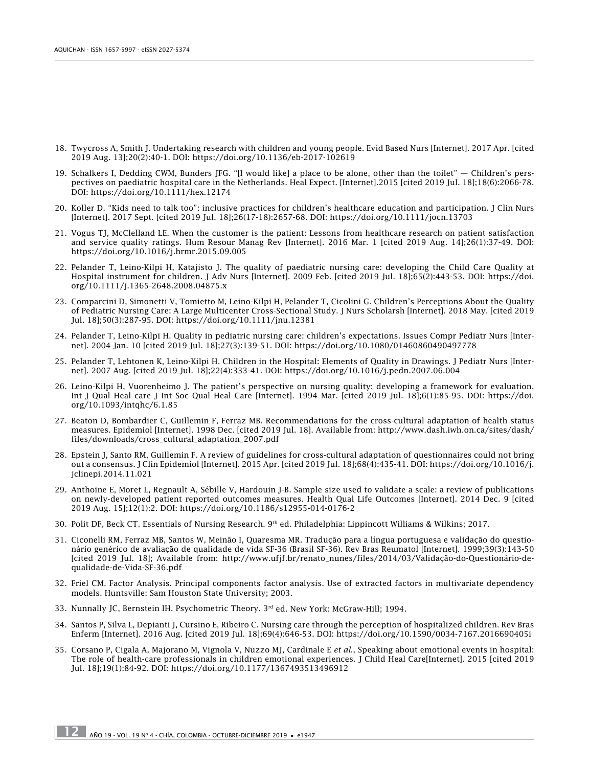- 18. Twycross A, Smith J. Undertaking research with children and young people. Evid Based Nurs [Internet]. 2017 Apr. [cited 2019 Aug. 13];20(2):40-1. DOI:<https://doi.org/10.1136/eb-2017-102619>
- 19. Schalkers I, Dedding CWM, Bunders JFG. "[I would like] a place to be alone, other than the toilet" Children's perspectives on paediatric hospital care in the Netherlands. Heal Expect. [Internet].2015 [cited 2019 Jul. 18];18(6):2066-78. DOI:<https://doi.org/10.1111/hex.12174>
- 20. Koller D. "Kids need to talk too": inclusive practices for children's healthcare education and participation. J Clin Nurs [Internet]. 2017 Sept. [cited 2019 Jul. 18];26(17-18):2657-68. DOI:<https://doi.org/10.1111/jocn.13703>
- 21. Vogus TJ, McClelland LE. When the customer is the patient: Lessons from healthcare research on patient satisfaction and service quality ratings. Hum Resour Manag Rev [Internet]. 2016 Mar. 1 [cited 2019 Aug. 14];26(1):37-49. DOI: <https://doi.org/10.1016/j.hrmr.2015.09.005>
- 22. Pelander T, Leino-Kilpi H, Katajisto J. The quality of paediatric nursing care: developing the Child Care Quality at Hospital instrument for children. J Adv Nurs [Internet]. 2009 Feb. [cited 2019 Jul. 18];65(2):443-53. DOI: [https://doi.](https://doi.org/10.1111/j.1365-2648.2008.04875.x) [org/10.1111/j.1365-2648.2008.04875.x](https://doi.org/10.1111/j.1365-2648.2008.04875.x)
- 23. Comparcini D, Simonetti V, Tomietto M, Leino-Kilpi H, Pelander T, Cicolini G. Children's Perceptions About the Quality of Pediatric Nursing Care: A Large Multicenter Cross-Sectional Study. J Nurs Scholarsh [Internet]. 2018 May. [cited 2019 Jul. 18];50(3):287-95. DOI:<https://doi.org/10.1111/jnu.12381>
- 24. Pelander T, Leino-Kilpi H. Quality in pediatric nursing care: children's expectations. Issues Compr Pediatr Nurs [Internet]. 2004 Jan. 10 [cited 2019 Jul. 18];27(3):139-51. DOI: <https://doi.org/10.1080/01460860490497778>
- 25. Pelander T, Lehtonen K, Leino-Kilpi H. Children in the Hospital: Elements of Quality in Drawings. J Pediatr Nurs [Internet]. 2007 Aug. [cited 2019 Jul. 18];22(4):333-41. DOI: <https://doi.org/10.1016/j.pedn.2007.06.004>
- 26. Leino-Kilpi H, Vuorenheimo J. The patient's perspective on nursing quality: developing a framework for evaluation. Int J Qual Heal care J Int Soc Qual Heal Care [Internet]. 1994 Mar. [cited 2019 Jul. 18];6(1):85-95. DOI: [https://doi.](https://doi.org/10.1093/intqhc/6.1.85) [org/10.1093/intqhc/6.1.85](https://doi.org/10.1093/intqhc/6.1.85)
- 27. Beaton D, Bombardier C, Guillemin F, Ferraz MB. Recommendations for the cross-cultural adaptation of health status measures. Epidemiol [Internet]. 1998 Dec. [cited 2019 Jul. 18]. Available from: [http://www.dash.iwh.on.ca/sites/dash/](http://www.dash.iwh.on.ca/sites/dash/files/downloads/cross_cultural_adaptation_2007.pdf) [files/downloads/cross\\_cultural\\_adaptation\\_2007.pdf](http://www.dash.iwh.on.ca/sites/dash/files/downloads/cross_cultural_adaptation_2007.pdf)
- 28. Epstein J, Santo RM, Guillemin F. A review of guidelines for cross-cultural adaptation of questionnaires could not bring out a consensus. J Clin Epidemiol [Internet]. 2015 Apr. [cited 2019 Jul. 18];68(4):435-41. DOI: [https://doi.org/10.1016/j.](https://doi.org/10.1016/j.jclinepi.2014.11.021) [jclinepi.2014.11.021](https://doi.org/10.1016/j.jclinepi.2014.11.021)
- 29. Anthoine E, Moret L, Regnault A, Sébille V, Hardouin J-B. Sample size used to validate a scale: a review of publications on newly-developed patient reported outcomes measures. Health Qual Life Outcomes [Internet]. 2014 Dec. 9 [cited 2019 Aug. 15];12(1):2. DOI:<https://doi.org/10.1186/s12955-014-0176-2>
- 30. Polit DF, Beck CT. Essentials of Nursing Research. 9th ed. Philadelphia: Lippincott Williams & Wilkins; 2017.
- 31. Ciconelli RM, Ferraz MB, Santos W, Meinão I, Quaresma MR. Tradução para a língua portuguesa e validação do questionário genérico de avaliação de qualidade de vida SF-36 (Brasil SF-36). Rev Bras Reumatol [Internet]. 1999;39(3):143-50 [cited 2019 Jul. 18]; Available from: [http://www.ufjf.br/renato\\_nunes/files/2014/03/Validação-do-Questionário-de](http://www.ufjf.br/renato_nunes/files/2014/03/Validação-do-Questionário-de-qualidade-de-Vida-SF-36.pdf)[qualidade-de-Vida-SF-36.pdf](http://www.ufjf.br/renato_nunes/files/2014/03/Validação-do-Questionário-de-qualidade-de-Vida-SF-36.pdf)
- 32. Friel CM. Factor Analysis. Principal components factor analysis. Use of extracted factors in multivariate dependency models. Huntsville: Sam Houston State University; 2003.
- 33. Nunnally JC, Bernstein IH. Psychometric Theory. 3rd ed. New York: McGraw-Hill; 1994.
- 34. Santos P, Silva L, Depianti J, Cursino E, Ribeiro C. Nursing care through the perception of hospitalized children. Rev Bras Enferm [Internet]. 2016 Aug. [cited 2019 Jul. 18];69(4):646-53. DOI:<https://doi.org/10.1590/0034-7167.2016690405i>
- 35. Corsano P, Cigala A, Majorano M, Vignola V, Nuzzo MJ, Cardinale E *et al*., Speaking about emotional events in hospital: The role of health-care professionals in children emotional experiences. J Child Heal Care[Internet]. 2015 [cited 2019 Jul. 18];19(1):84-92. DOI:<https://doi.org/10.1177/1367493513496912>